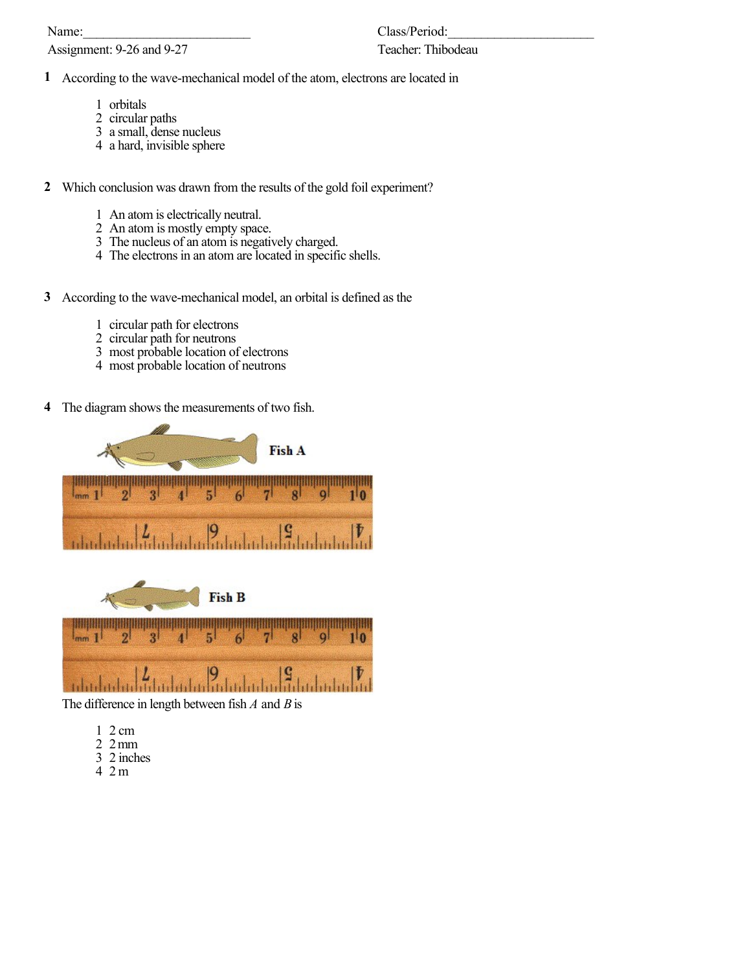Name:

Assignment: 9-26 and 9-27

## Teacher: Thibodeau

- According to the wave-mechanical model of the atom, electrons are located in
	- orbitals
	- circular paths
	- a small, dense nucleus
	- a hard, invisible sphere
- Which conclusion was drawn from the results of the gold foil experiment?
	- An atom is electrically neutral.
	- An atom is mostly empty space.
	- The nucleus of an atom is negatively charged.
	- The electrons in an atom are located in specific shells.
- According to the wave-mechanical model, an orbital is defined as the
	- circular path for electrons
	- circular path for neutrons
	- most probable location of electrons
	- most probable location of neutrons
- The diagram shows the measurements of two fish.





The difference in length between fish *A* and *B* is

- 2 cm
- 2 mm
- 2 inches
- 2 m